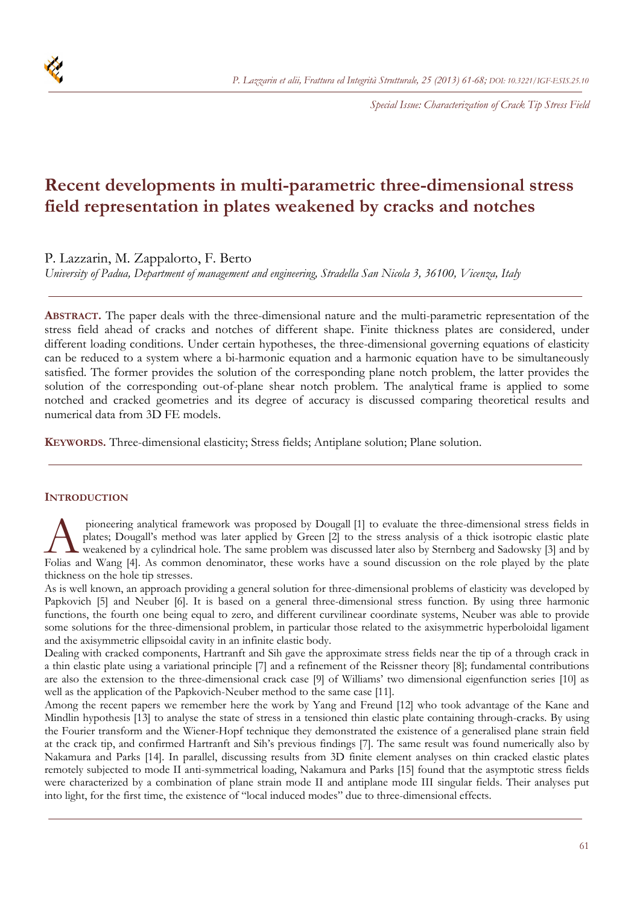

*Special Issue: Characterization of Crack Tip Stress Field*

# **Recent developments in multi-parametric three-dimensional stress field representation in plates weakened by cracks and notches**

P. Lazzarin, M. Zappalorto, F. Berto

*University of Padua, Department of management and engineering, Stradella San Nicola 3, 36100, Vicenza, Italy* 

**ABSTRACT.** The paper deals with the three-dimensional nature and the multi-parametric representation of the stress field ahead of cracks and notches of different shape. Finite thickness plates are considered, under different loading conditions. Under certain hypotheses, the three-dimensional governing equations of elasticity can be reduced to a system where a bi-harmonic equation and a harmonic equation have to be simultaneously satisfied. The former provides the solution of the corresponding plane notch problem, the latter provides the solution of the corresponding out-of-plane shear notch problem. The analytical frame is applied to some notched and cracked geometries and its degree of accuracy is discussed comparing theoretical results and numerical data from 3D FE models.

**KEYWORDS.** Three-dimensional elasticity; Stress fields; Antiplane solution; Plane solution.

## **INTRODUCTION**

 pioneering analytical framework was proposed by Dougall [1] to evaluate the three-dimensional stress fields in plates; Dougall's method was later applied by Green [2] to the stress analysis of a thick isotropic elastic plate weakened by a cylindrical hole. The same problem was discussed later also by Sternberg and Sadowsky [3] and by Folias and Wang [4]. As common denominator, these works have a sound discussion on the role played by the plate plate Folias and Wang [4]. As common denominator, these works have a sound discussion on the role played by th thickness on the hole tip stresses.

As is well known, an approach providing a general solution for three-dimensional problems of elasticity was developed by Papkovich [5] and Neuber [6]. It is based on a general three-dimensional stress function. By using three harmonic functions, the fourth one being equal to zero, and different curvilinear coordinate systems, Neuber was able to provide some solutions for the three-dimensional problem, in particular those related to the axisymmetric hyperboloidal ligament and the axisymmetric ellipsoidal cavity in an infinite elastic body.

Dealing with cracked components, Hartranft and Sih gave the approximate stress fields near the tip of a through crack in a thin elastic plate using a variational principle [7] and a refinement of the Reissner theory [8]; fundamental contributions are also the extension to the three-dimensional crack case [9] of Williams' two dimensional eigenfunction series [10] as well as the application of the Papkovich-Neuber method to the same case [11].

Among the recent papers we remember here the work by Yang and Freund [12] who took advantage of the Kane and Mindlin hypothesis [13] to analyse the state of stress in a tensioned thin elastic plate containing through-cracks. By using the Fourier transform and the Wiener-Hopf technique they demonstrated the existence of a generalised plane strain field at the crack tip, and confirmed Hartranft and Sih's previous findings [7]. The same result was found numerically also by Nakamura and Parks [14]. In parallel, discussing results from 3D finite element analyses on thin cracked elastic plates remotely subjected to mode II anti-symmetrical loading, Nakamura and Parks [15] found that the asymptotic stress fields were characterized by a combination of plane strain mode II and antiplane mode III singular fields. Their analyses put into light, for the first time, the existence of "local induced modes" due to three-dimensional effects.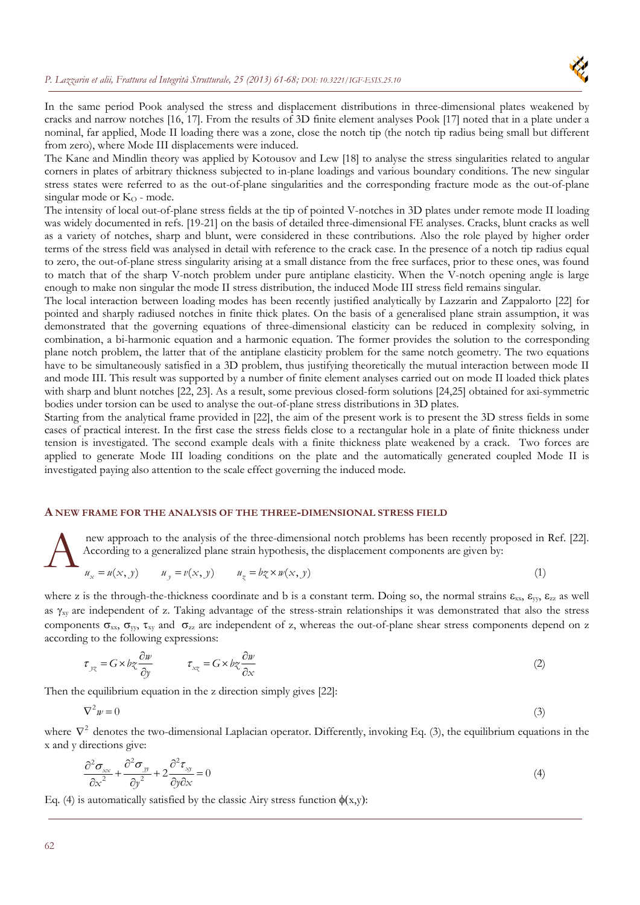

In the same period Pook analysed the stress and displacement distributions in three-dimensional plates weakened by cracks and narrow notches [16, 17]. From the results of 3D finite element analyses Pook [17] noted that in a plate under a nominal, far applied, Mode II loading there was a zone, close the notch tip (the notch tip radius being small but different from zero), where Mode III displacements were induced.

The Kane and Mindlin theory was applied by Kotousov and Lew [18] to analyse the stress singularities related to angular corners in plates of arbitrary thickness subjected to in-plane loadings and various boundary conditions. The new singular stress states were referred to as the out-of-plane singularities and the corresponding fracture mode as the out-of-plane singular mode or  $K<sub>O</sub>$  - mode.

The intensity of local out-of-plane stress fields at the tip of pointed V-notches in 3D plates under remote mode II loading was widely documented in refs. [19-21] on the basis of detailed three-dimensional FE analyses. Cracks, blunt cracks as well as a variety of notches, sharp and blunt, were considered in these contributions. Also the role played by higher order terms of the stress field was analysed in detail with reference to the crack case. In the presence of a notch tip radius equal to zero, the out-of-plane stress singularity arising at a small distance from the free surfaces, prior to these ones, was found to match that of the sharp V-notch problem under pure antiplane elasticity. When the V-notch opening angle is large enough to make non singular the mode II stress distribution, the induced Mode III stress field remains singular.

The local interaction between loading modes has been recently justified analytically by Lazzarin and Zappalorto [22] for pointed and sharply radiused notches in finite thick plates. On the basis of a generalised plane strain assumption, it was demonstrated that the governing equations of three-dimensional elasticity can be reduced in complexity solving, in combination, a bi-harmonic equation and a harmonic equation. The former provides the solution to the corresponding plane notch problem, the latter that of the antiplane elasticity problem for the same notch geometry. The two equations have to be simultaneously satisfied in a 3D problem, thus justifying theoretically the mutual interaction between mode II and mode III. This result was supported by a number of finite element analyses carried out on mode II loaded thick plates with sharp and blunt notches [22, 23]. As a result, some previous closed-form solutions [24,25] obtained for axi-symmetric bodies under torsion can be used to analyse the out-of-plane stress distributions in 3D plates.

Starting from the analytical frame provided in [22], the aim of the present work is to present the 3D stress fields in some cases of practical interest. In the first case the stress fields close to a rectangular hole in a plate of finite thickness under tension is investigated. The second example deals with a finite thickness plate weakened by a crack. Two forces are applied to generate Mode III loading conditions on the plate and the automatically generated coupled Mode II is investigated paying also attention to the scale effect governing the induced mode.

### **A NEW FRAME FOR THE ANALYSIS OF THE THREE-DIMENSIONAL STRESS FIELD**

 new approach to the analysis of the three-dimensional notch problems has been recently proposed in Ref. [22]. According to a generalized plane strain hypothesis, the displacement components are given by:  $\mathbf{A}^{\frac{\mathbf{n}a}{\mathbf{A}}_{\mathbf{a}}$ 

$$
u_x = u(x, y) \qquad u_y = v(x, y) \qquad u_z = b z \times w(x, y) \tag{1}
$$

where z is the through-the-thickness coordinate and b is a constant term. Doing so, the normal strains  $\epsilon_{xx}$ ,  $\epsilon_{yy}$ ,  $\epsilon_{zz}$  as well as  $\gamma_{xy}$  are independent of z. Taking advantage of the stress-strain relationships it was demonstrated that also the stress components  $\sigma_{xx}$ ,  $\sigma_{yy}$ ,  $\tau_{xy}$  and  $\sigma_{zz}$  are independent of z, whereas the out-of-plane shear stress components depend on z according to the following expressions:

$$
\tau_{yz} = G \times bz \frac{\partial w}{\partial y} \qquad \tau_{xz} = G \times bz \frac{\partial w}{\partial x} \tag{2}
$$

Then the equilibrium equation in the z direction simply gives [22]:

$$
\nabla^2 w = 0 \tag{3}
$$

where  $\nabla^2$  denotes the two-dimensional Laplacian operator. Differently, invoking Eq. (3), the equilibrium equations in the x and y directions give:

$$
\frac{\partial^2 \sigma_{xx}}{\partial x^2} + \frac{\partial^2 \sigma_{yy}}{\partial y^2} + 2 \frac{\partial^2 \tau_{xy}}{\partial y \partial x} = 0
$$
\n(4)

Eq. (4) is automatically satisfied by the classic Airy stress function  $\phi(x,y)$ :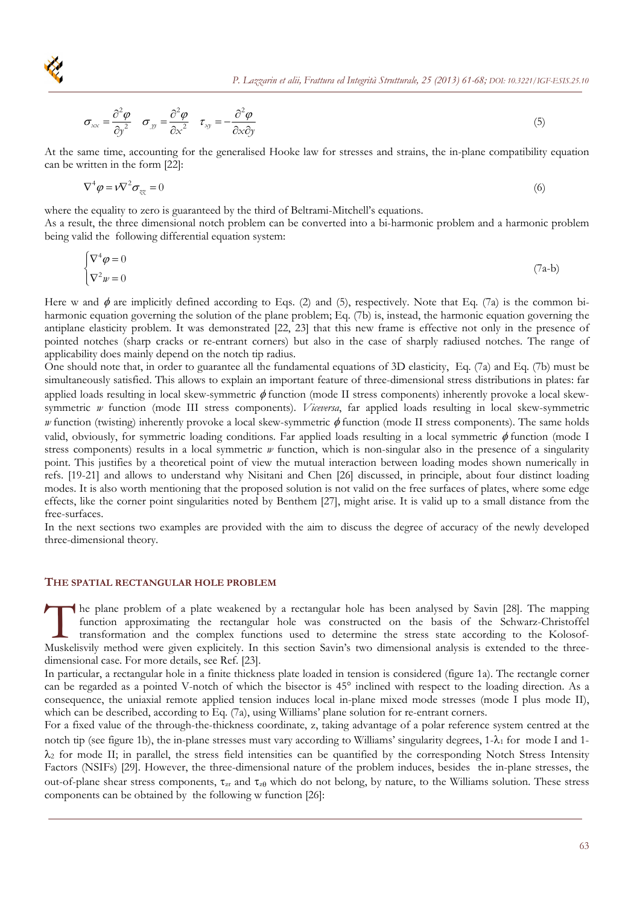

$$
\sigma_{xx} = \frac{\partial^2 \varphi}{\partial y^2} \quad \sigma_{yy} = \frac{\partial^2 \varphi}{\partial x^2} \quad \tau_{xy} = -\frac{\partial^2 \varphi}{\partial x \partial y}
$$
(5)

At the same time, accounting for the generalised Hooke law for stresses and strains, the in-plane compatibility equation can be written in the form [22]:

$$
\nabla^4 \varphi = v \nabla^2 \sigma_{xx} = 0 \tag{6}
$$

where the equality to zero is guaranteed by the third of Beltrami-Mitchell's equations.

As a result, the three dimensional notch problem can be converted into a bi-harmonic problem and a harmonic problem being valid the following differential equation system:

$$
\begin{cases} \nabla^4 \varphi = 0 \\ \nabla^2 w = 0 \end{cases} \tag{7a-b}
$$

Here w and  $\phi$  are implicitly defined according to Eqs. (2) and (5), respectively. Note that Eq. (7a) is the common biharmonic equation governing the solution of the plane problem; Eq. (7b) is, instead, the harmonic equation governing the antiplane elasticity problem. It was demonstrated [22, 23] that this new frame is effective not only in the presence of pointed notches (sharp cracks or re-entrant corners) but also in the case of sharply radiused notches. The range of applicability does mainly depend on the notch tip radius.

One should note that, in order to guarantee all the fundamental equations of 3D elasticity, Eq. (7a) and Eq. (7b) must be simultaneously satisfied. This allows to explain an important feature of three-dimensional stress distributions in plates: far applied loads resulting in local skew-symmetric  $\phi$  function (mode II stress components) inherently provoke a local skewsymmetric *w* function (mode III stress components). *Viceversa*, far applied loads resulting in local skew-symmetric *w* function (twisting) inherently provoke a local skew-symmetric  $\phi$  function (mode II stress components). The same holds valid, obviously, for symmetric loading conditions. Far applied loads resulting in a local symmetric  $\phi$  function (mode I stress components) results in a local symmetric *w* function, which is non-singular also in the presence of a singularity point. This justifies by a theoretical point of view the mutual interaction between loading modes shown numerically in refs. [19-21] and allows to understand why Nisitani and Chen [26] discussed, in principle, about four distinct loading modes. It is also worth mentioning that the proposed solution is not valid on the free surfaces of plates, where some edge effects, like the corner point singularities noted by Benthem [27], might arise. It is valid up to a small distance from the free-surfaces.

In the next sections two examples are provided with the aim to discuss the degree of accuracy of the newly developed three-dimensional theory.

# **THE SPATIAL RECTANGULAR HOLE PROBLEM**

he plane problem of a plate weakened by a rectangular hole has been analysed by Savin [28]. The mapping function approximating the rectangular hole was constructed on the basis of the Schwarz-Christoffel transformation and the complex functions used to determine the stress state according to the Kolosof-The plane problem of a plate weakened by a rectangular hole has been analysed by Savin [28]. The mapping function approximating the rectangular hole was constructed on the basis of the Schwarz-Christoffel transformation an dimensional case. For more details, see Ref. [23].

In particular, a rectangular hole in a finite thickness plate loaded in tension is considered (figure 1a). The rectangle corner can be regarded as a pointed V-notch of which the bisector is 45° inclined with respect to the loading direction. As a consequence, the uniaxial remote applied tension induces local in-plane mixed mode stresses (mode I plus mode II), which can be described, according to Eq. (7a), using Williams' plane solution for re-entrant corners.

For a fixed value of the through-the-thickness coordinate, z, taking advantage of a polar reference system centred at the notch tip (see figure 1b), the in-plane stresses must vary according to Williams' singularity degrees,  $1-\lambda_1$  for mode I and  $1-\lambda_1$  $\lambda_2$  for mode II; in parallel, the stress field intensities can be quantified by the corresponding Notch Stress Intensity Factors (NSIFs) [29]. However, the three-dimensional nature of the problem induces, besides the in-plane stresses, the out-of-plane shear stress components,  $\tau_{zr}$  and  $\tau_{z0}$  which do not belong, by nature, to the Williams solution. These stress components can be obtained by the following w function [26]: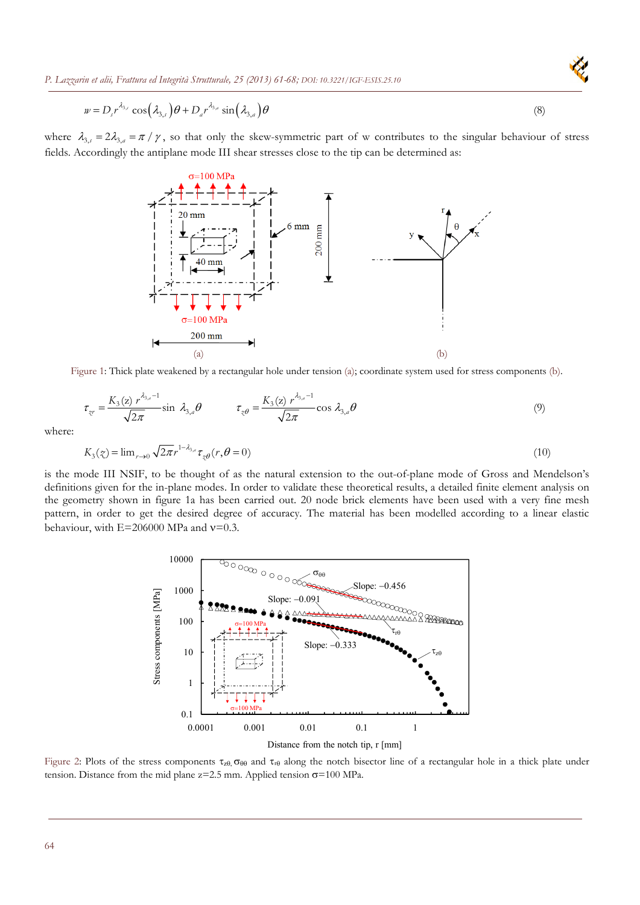*P. Lazzarin et alii, Frattura ed Integrità Strutturale, 25 (2013) 61-68[; DOI: 10.3221/IGF-ESIS.25.10](http://dx.medra.org/10.3221/IGF-ESIS.25.10&auth=true)* 

$$
w = D_s r^{\lambda_{3,s}} \cos(\lambda_{3,s}) \theta + D_a r^{\lambda_{3,a}} \sin(\lambda_{3,a}) \theta \tag{8}
$$

where  $\lambda_{3,i} = 2\lambda_{3,a} = \pi / \gamma$ , so that only the skew-symmetric part of w contributes to the singular behaviour of stress fields. Accordingly the antiplane mode III shear stresses close to the tip can be determined as:



Figure 1: Thick plate weakened by a rectangular hole under tension (a); coordinate system used for stress components (b).

$$
\tau_{zr} = \frac{K_3(z) r^{\lambda_{3,a}-1}}{\sqrt{2\pi}} \sin \lambda_{3,a} \theta \qquad \tau_{z\theta} = \frac{K_3(z) r^{\lambda_{3,a}-1}}{\sqrt{2\pi}} \cos \lambda_{3,a} \theta \qquad (9)
$$

where:

$$
K_3(\zeta) = \lim_{r \to 0} \sqrt{2\pi} r^{1-\lambda_{3,r}} \tau_{\zeta\theta}(r,\theta=0)
$$
\n(10)

is the mode III NSIF, to be thought of as the natural extension to the out-of-plane mode of Gross and Mendelson's definitions given for the in-plane modes. In order to validate these theoretical results, a detailed finite element analysis on the geometry shown in figure 1a has been carried out. 20 node brick elements have been used with a very fine mesh pattern, in order to get the desired degree of accuracy. The material has been modelled according to a linear elastic behaviour, with  $E=206000$  MPa and  $v=0.3$ .



Distance from the notch tip, r [mm]

Figure 2: Plots of the stress components  $\tau_{z0}$ ,  $\sigma_{\theta\theta}$  and  $\tau_{r\theta}$  along the notch bisector line of a rectangular hole in a thick plate under tension. Distance from the mid plane  $z=2.5$  mm. Applied tension  $\sigma=100$  MPa.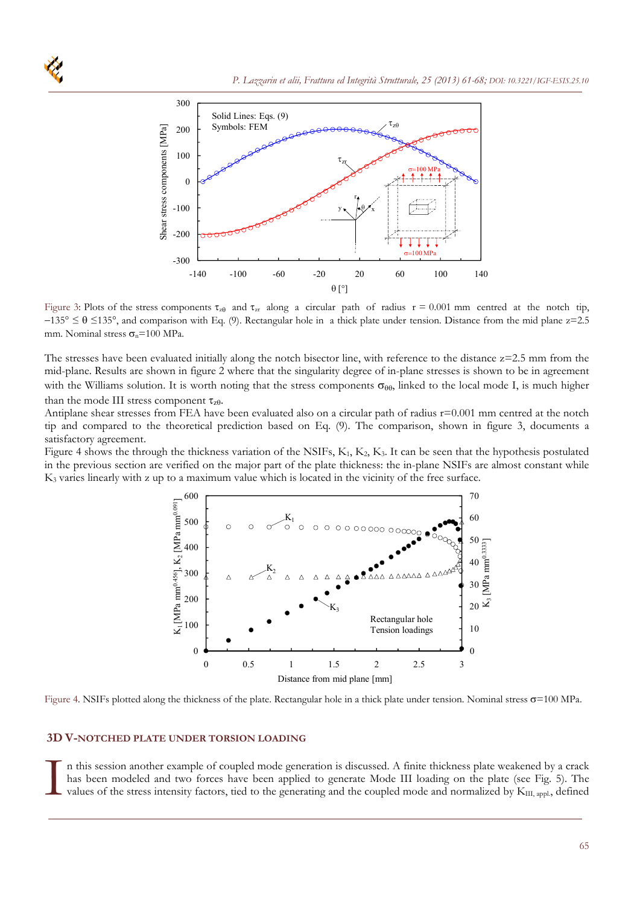

Figure 3: Plots of the stress components  $\tau_{\text{z}}_0$  and  $\tau_{\text{z}}_r$  along a circular path of radius  $r = 0.001$  mm centred at the notch tip,  $-135^{\circ} \le \theta \le 135^{\circ}$ , and comparison with Eq. (9). Rectangular hole in a thick plate under tension. Distance from the mid plane z=2.5 mm. Nominal stress  $\sigma_n$ =100 MPa.

The stresses have been evaluated initially along the notch bisector line, with reference to the distance  $z=2.5$  mm from the mid-plane. Results are shown in figure 2 where that the singularity degree of in-plane stresses is shown to be in agreement with the Williams solution. It is worth noting that the stress components  $\sigma_{\theta\theta}$ , linked to the local mode I, is much higher than the mode III stress component  $\tau_{z0}$ .

Antiplane shear stresses from FEA have been evaluated also on a circular path of radius r=0.001 mm centred at the notch tip and compared to the theoretical prediction based on Eq. (9). The comparison, shown in figure 3, documents a satisfactory agreement.

Figure 4 shows the through the thickness variation of the NSIFs,  $K_1, K_2, K_3$ . It can be seen that the hypothesis postulated in the previous section are verified on the major part of the plate thickness: the in-plane NSIFs are almost constant while K3 varies linearly with z up to a maximum value which is located in the vicinity of the free surface.



Figure 4. NSIFs plotted along the thickness of the plate. Rectangular hole in a thick plate under tension. Nominal stress  $\sigma$ =100 MPa.

## **3D V-NOTCHED PLATE UNDER TORSION LOADING**

n this session another example of coupled mode generation is discussed. A finite thickness plate weakened by a crack has been modeled and two forces have been applied to generate Mode III loading on the plate (see Fig. 5). The values of the stress intensity factors, tied to the generating and the coupled mode and normalized by K<sub>III, app</sub>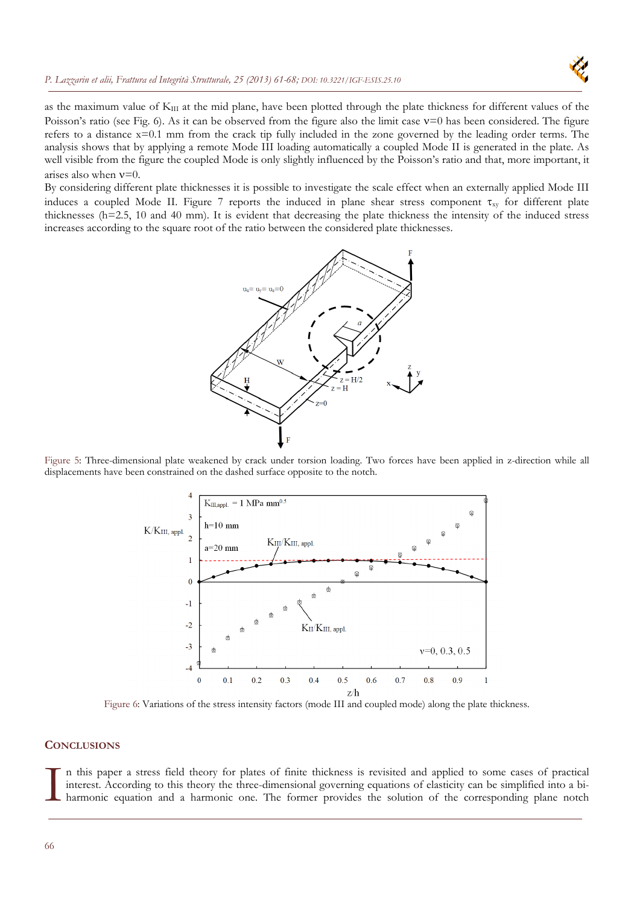### *P. Lazzarin et alii, Frattura ed Integrità Strutturale, 25 (2013) 61-68; [DOI: 10.3221/IGF-ESIS.25.10](http://dx.medra.org/10.3221/IGF-ESIS.25.10&auth=true)*



as the maximum value of  $K_{III}$  at the mid plane, have been plotted through the plate thickness for different values of the Poisson's ratio (see Fig. 6). As it can be observed from the figure also the limit case  $v=0$  has been considered. The figure refers to a distance x=0.1 mm from the crack tip fully included in the zone governed by the leading order terms. The analysis shows that by applying a remote Mode III loading automatically a coupled Mode II is generated in the plate. As well visible from the figure the coupled Mode is only slightly influenced by the Poisson's ratio and that, more important, it arises also when  $v=0$ .

By considering different plate thicknesses it is possible to investigate the scale effect when an externally applied Mode III induces a coupled Mode II. Figure 7 reports the induced in plane shear stress component  $\tau_{xy}$  for different plate thicknesses (h=2.5, 10 and 40 mm). It is evident that decreasing the plate thickness the intensity of the induced stress increases according to the square root of the ratio between the considered plate thicknesses.



Figure 5: Three-dimensional plate weakened by crack under torsion loading. Two forces have been applied in z-direction while all displacements have been constrained on the dashed surface opposite to the notch.



Figure 6: Variations of the stress intensity factors (mode III and coupled mode) along the plate thickness.

# **CONCLUSIONS**

n this paper a stress field theory for plates of finite thickness is revisited and applied to some cases of practical interest. According to this theory the three-dimensional governing equations of elasticity can be simplified into a bi-<br>harmonic equation and a harmonic one. The former provides the solution of the corresponding plane notc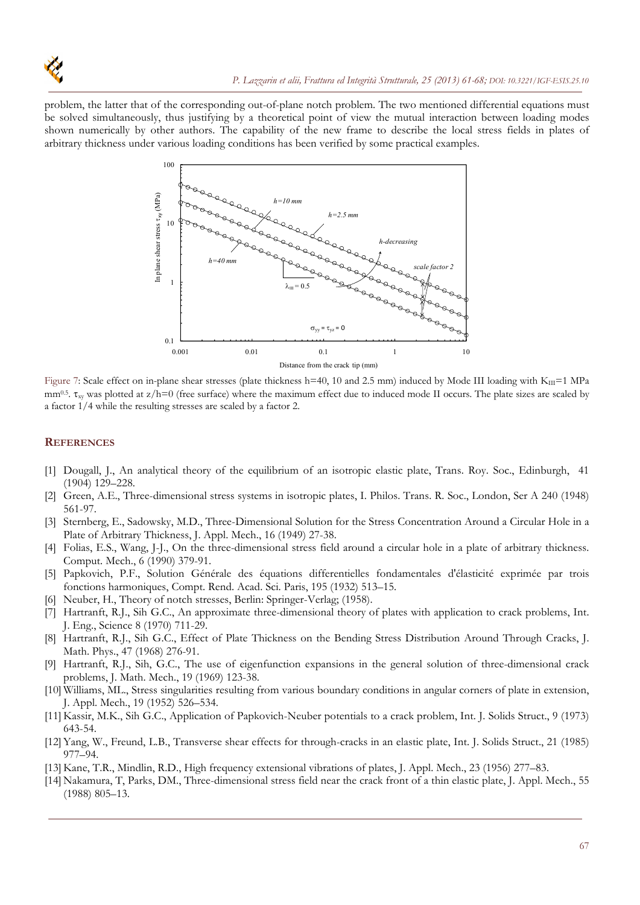

problem, the latter that of the corresponding out-of-plane notch problem. The two mentioned differential equations must be solved simultaneously, thus justifying by a theoretical point of view the mutual interaction between loading modes shown numerically by other authors. The capability of the new frame to describe the local stress fields in plates of arbitrary thickness under various loading conditions has been verified by some practical examples.



Figure 7: Scale effect on in-plane shear stresses (plate thickness h=40, 10 and 2.5 mm) induced by Mode III loading with  $K_{III}$ =1 MPa  $mm^{0.5}$ .  $\tau_{xy}$  was plotted at  $z/h=0$  (free surface) where the maximum effect due to induced mode II occurs. The plate sizes are scaled by a factor 1/4 while the resulting stresses are scaled by a factor 2.

### **REFERENCES**

- [1] Dougall, J., An analytical theory of the equilibrium of an isotropic elastic plate, Trans. Roy. Soc., Edinburgh, 41 (1904) 129–228.
- [2] Green, A.E., Three-dimensional stress systems in isotropic plates, I. Philos. Trans. R. Soc., London, Ser A 240 (1948) 561-97.
- [3] Sternberg, E., Sadowsky, M.D., Three-Dimensional Solution for the Stress Concentration Around a Circular Hole in a Plate of Arbitrary Thickness, J. Appl. Mech., 16 (1949) 27-38.
- [4] Folias, E.S., Wang, J-J., On the three-dimensional stress field around a circular hole in a plate of arbitrary thickness. Comput. Mech., 6 (1990) 379-91.
- [5] Papkovich, P.F., Solution Générale des équations differentielles fondamentales d'élasticité exprimée par trois fonctions harmoniques, Compt. Rend. Acad. Sci. Paris, 195 (1932) 513–15.
- [6] Neuber, H., Theory of notch stresses, Berlin: Springer-Verlag; (1958).
- [7] Hartranft, R.J., Sih G.C., An approximate three-dimensional theory of plates with application to crack problems, Int. J. Eng., Science 8 (1970) 711-29.
- [8] Hartranft, R.J., Sih G.C., Effect of Plate Thickness on the Bending Stress Distribution Around Through Cracks, J. Math. Phys., 47 (1968) 276-91.
- [9] Hartranft, R.J., Sih, G.C., The use of eigenfunction expansions in the general solution of three-dimensional crack problems, J. Math. Mech., 19 (1969) 123-38.
- [10] Williams, ML., Stress singularities resulting from various boundary conditions in angular corners of plate in extension, J. Appl. Mech., 19 (1952) 526–534.
- [11] Kassir, M.K., Sih G.C., Application of Papkovich-Neuber potentials to a crack problem, Int. J. Solids Struct., 9 (1973) 643-54.
- [12]Yang, W., Freund, L.B., Transverse shear effects for through-cracks in an elastic plate, Int. J. Solids Struct., 21 (1985) 977–94.
- [13] Kane, T.R., Mindlin, R.D., High frequency extensional vibrations of plates, J. Appl. Mech., 23 (1956) 277–83.
- [14] Nakamura, T, Parks, DM., Three-dimensional stress field near the crack front of a thin elastic plate, J. Appl. Mech., 55 (1988) 805–13.